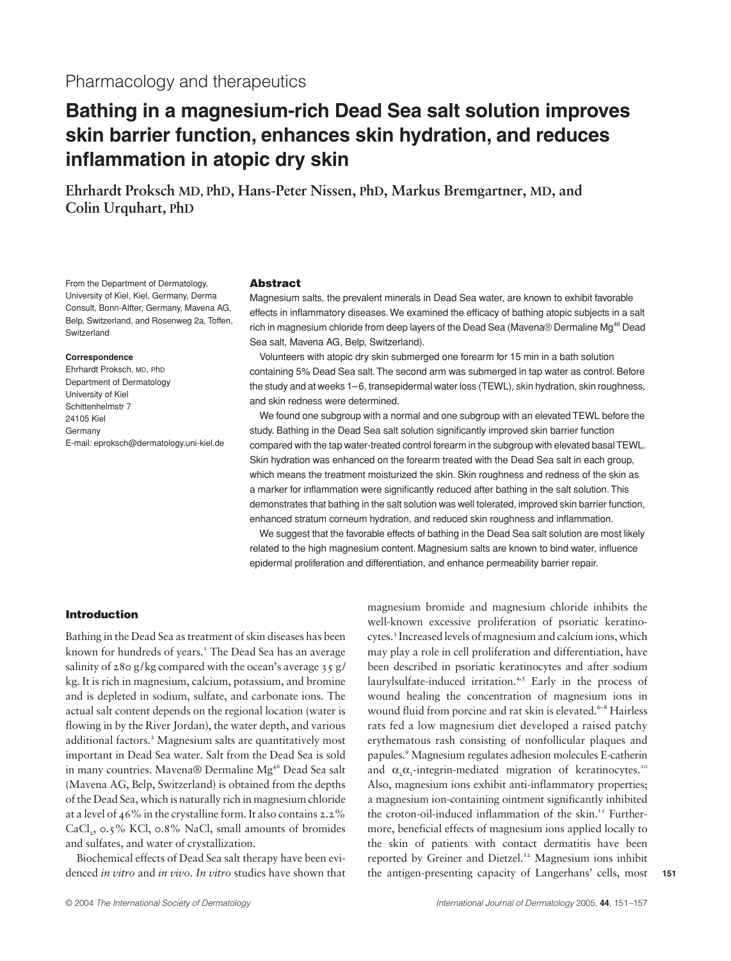# **Bathing in a magnesium-rich Dead Sea salt solution improves skin barrier function, enhances skin hydration, and reduces inflammation in atopic dry skin**

**Ehrhardt Proksch MD, PhD, Hans-Peter Nissen, PhD, Markus Bremgartner, MD, and Colin Urquhart, PhD**

From the Department of Dermatology, University of Kiel, Kiel, Germany, Derma Consult, Bonn-Alfter, Germany, Mavena AG, Belp, Switzerland, and Rosenweg 2a, Toffen, **Switzerland** 

#### **Correspondence**

Ehrhardt Proksch, MD, PhD Department of Dermatology University of Kiel Schittenhelmstr 7 24105 Kiel Germany E-mail: eproksch@dermatology.uni-kiel.de

#### **Abstract**

Magnesium salts, the prevalent minerals in Dead Sea water, are known to exhibit favorable effects in inflammatory diseases. We examined the efficacy of bathing atopic subjects in a salt rich in magnesium chloride from deep layers of the Dead Sea (Mavena® Dermaline Mg<sup>46</sup> Dead Sea salt, Mavena AG, Belp, Switzerland).

Volunteers with atopic dry skin submerged one forearm for 15 min in a bath solution containing 5% Dead Sea salt. The second arm was submerged in tap water as control. Before the study and at weeks 1–6, transepidermal water loss (TEWL), skin hydration, skin roughness, and skin redness were determined.

We found one subgroup with a normal and one subgroup with an elevated TEWL before the study. Bathing in the Dead Sea salt solution significantly improved skin barrier function compared with the tap water-treated control forearm in the subgroup with elevated basal TEWL. Skin hydration was enhanced on the forearm treated with the Dead Sea salt in each group, which means the treatment moisturized the skin. Skin roughness and redness of the skin as a marker for inflammation were significantly reduced after bathing in the salt solution. This demonstrates that bathing in the salt solution was well tolerated, improved skin barrier function, enhanced stratum corneum hydration, and reduced skin roughness and inflammation.

We suggest that the favorable effects of bathing in the Dead Sea salt solution are most likely related to the high magnesium content. Magnesium salts are known to bind water, influence epidermal proliferation and differentiation, and enhance permeability barrier repair.

# **Introduction**

Bathing in the Dead Sea as treatment of skin diseases has been known for hundreds of years.<sup>1</sup> The Dead Sea has an average salinity of 280 g/kg compared with the ocean's average  $35 g$ / kg. It is rich in magnesium, calcium, potassium, and bromine and is depleted in sodium, sulfate, and carbonate ions. The actual salt content depends on the regional location (water is flowing in by the River Jordan), the water depth, and various additional factors.<sup>2</sup> Magnesium salts are quantitatively most important in Dead Sea water. Salt from the Dead Sea is sold in many countries. Mavena® Dermaline Mg<sup>46</sup> Dead Sea salt (Mavena AG, Belp, Switzerland) is obtained from the depths of the Dead Sea, which is naturally rich in magnesium chloride at a level of 46% in the crystalline form. It also contains 2.2% CaCl<sub>3</sub>,  $\circ$ ,  $\circ$ % KCl,  $\circ$ ,  $\circ$ % NaCl, small amounts of bromides and sulfates, and water of crystallization.

Biochemical effects of Dead Sea salt therapy have been evidenced *in vitro* and *in vivo*. *In vitro* studies have shown that magnesium bromide and magnesium chloride inhibits the well-known excessive proliferation of psoriatic keratinocytes.<sup>3</sup> Increased levels of magnesium and calcium ions, which may play a role in cell proliferation and differentiation, have been described in psoriatic keratinocytes and after sodium laurylsulfate-induced irritation.<sup>4,5</sup> Early in the process of wound healing the concentration of magnesium ions in wound fluid from porcine and rat skin is elevated.<sup>6-8</sup> Hairless rats fed a low magnesium diet developed a raised patchy erythematous rash consisting of nonfollicular plaques and papules.9 Magnesium regulates adhesion molecules E-catherin and  $\alpha$ , $\alpha$ <sub>r</sub>-integrin-mediated migration of keratinocytes.<sup>10</sup> Also, magnesium ions exhibit anti-inflammatory properties; a magnesium ion-containing ointment significantly inhibited the croton-oil-induced inflammation of the skin.<sup>11</sup> Furthermore, beneficial effects of magnesium ions applied locally to the skin of patients with contact dermatitis have been reported by Greiner and Dietzel.<sup>12</sup> Magnesium ions inhibit the antigen-presenting capacity of Langerhans' cells, most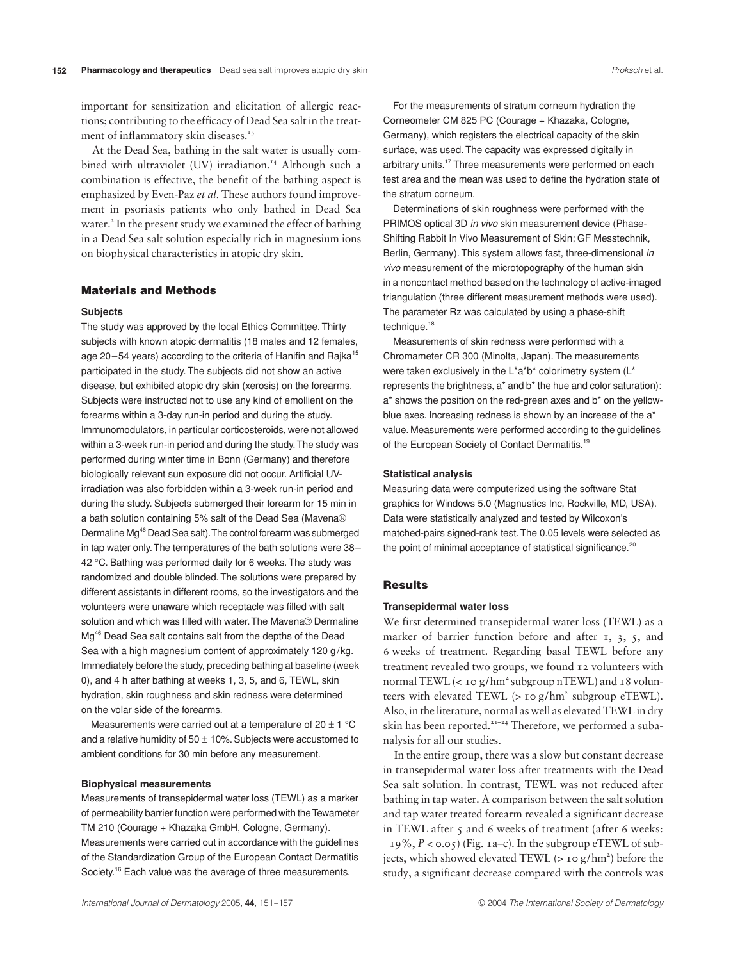important for sensitization and elicitation of allergic reactions; contributing to the efficacy of Dead Sea salt in the treatment of inflammatory skin diseases.<sup>13</sup>

At the Dead Sea, bathing in the salt water is usually combined with ultraviolet (UV) irradiation.<sup>14</sup> Although such a combination is effective, the benefit of the bathing aspect is emphasized by Even-Paz *et al*. These authors found improvement in psoriasis patients who only bathed in Dead Sea water.<sup>2</sup> In the present study we examined the effect of bathing in a Dead Sea salt solution especially rich in magnesium ions on biophysical characteristics in atopic dry skin.

# **Materials and Methods**

#### **Subjects**

The study was approved by the local Ethics Committee. Thirty subjects with known atopic dermatitis (18 males and 12 females, age 20–54 years) according to the criteria of Hanifin and Rajka<sup>15</sup> participated in the study. The subjects did not show an active disease, but exhibited atopic dry skin (xerosis) on the forearms. Subjects were instructed not to use any kind of emollient on the forearms within a 3-day run-in period and during the study. Immunomodulators, in particular corticosteroids, were not allowed within a 3-week run-in period and during the study. The study was performed during winter time in Bonn (Germany) and therefore biologically relevant sun exposure did not occur. Artificial UVirradiation was also forbidden within a 3-week run-in period and during the study. Subjects submerged their forearm for 15 min in a bath solution containing 5% salt of the Dead Sea (Mavena® Dermaline Mg46 Dead Sea salt). The control forearm was submerged in tap water only. The temperatures of the bath solutions were 38– 42 °C. Bathing was performed daily for 6 weeks. The study was randomized and double blinded. The solutions were prepared by different assistants in different rooms, so the investigators and the volunteers were unaware which receptacle was filled with salt solution and which was filled with water. The Mavena® Dermaline Mg46 Dead Sea salt contains salt from the depths of the Dead Sea with a high magnesium content of approximately 120 g/kg. Immediately before the study, preceding bathing at baseline (week 0), and 4 h after bathing at weeks 1, 3, 5, and 6, TEWL, skin hydration, skin roughness and skin redness were determined on the volar side of the forearms.

Measurements were carried out at a temperature of  $20 \pm 1$  °C and a relative humidity of  $50 \pm 10$ %. Subjects were accustomed to ambient conditions for 30 min before any measurement.

## **Biophysical measurements**

Measurements of transepidermal water loss (TEWL) as a marker of permeability barrier function were performed with the Tewameter TM 210 (Courage + Khazaka GmbH, Cologne, Germany). Measurements were carried out in accordance with the guidelines of the Standardization Group of the European Contact Dermatitis Society.<sup>16</sup> Each value was the average of three measurements.

For the measurements of stratum corneum hydration the Corneometer CM 825 PC (Courage + Khazaka, Cologne, Germany), which registers the electrical capacity of the skin surface, was used. The capacity was expressed digitally in arbitrary units.<sup>17</sup> Three measurements were performed on each test area and the mean was used to define the hydration state of the stratum corneum.

Determinations of skin roughness were performed with the PRIMOS optical 3D *in vivo* skin measurement device (Phase-Shifting Rabbit In Vivo Measurement of Skin; GF Messtechnik, Berlin, Germany). This system allows fast, three-dimensional *in vivo* measurement of the microtopography of the human skin in a noncontact method based on the technology of active-imaged triangulation (three different measurement methods were used). The parameter Rz was calculated by using a phase-shift technique.<sup>18</sup>

Measurements of skin redness were performed with a Chromameter CR 300 (Minolta, Japan). The measurements were taken exclusively in the L\*a\*b\* colorimetry system (L\* represents the brightness, a\* and b\* the hue and color saturation): a\* shows the position on the red-green axes and b\* on the yellowblue axes. Increasing redness is shown by an increase of the a\* value. Measurements were performed according to the guidelines of the European Society of Contact Dermatitis.<sup>19</sup>

## **Statistical analysis**

Measuring data were computerized using the software Stat graphics for Windows 5.0 (Magnustics Inc, Rockville, MD, USA). Data were statistically analyzed and tested by Wilcoxon's matched-pairs signed-rank test. The 0.05 levels were selected as the point of minimal acceptance of statistical significance.<sup>20</sup>

## **Results**

#### **Transepidermal water loss**

We first determined transepidermal water loss (TEWL) as a marker of barrier function before and after 1, 3, 5, and 6 weeks of treatment. Regarding basal TEWL before any treatment revealed two groups, we found 12 volunteers with normal TEWL  $(<$  10 g/hm<sup>2</sup> subgroup nTEWL) and 18 volunteers with elevated TEWL  $(>$  10 g/hm<sup>2</sup> subgroup eTEWL). Also, in the literature, normal as well as elevated TEWL in dry skin has been reported.<sup>21-24</sup> Therefore, we performed a subanalysis for all our studies.

In the entire group, there was a slow but constant decrease in transepidermal water loss after treatments with the Dead Sea salt solution. In contrast, TEWL was not reduced after bathing in tap water. A comparison between the salt solution and tap water treated forearm revealed a significant decrease in TEWL after 5 and 6 weeks of treatment (after 6 weeks:  $-19\%, P < 0.05$ ) (Fig. 1a–c). In the subgroup eTEWL of subjects, which showed elevated TEWL (> 10 g/hm<sup>2</sup>) before the study, a significant decrease compared with the controls was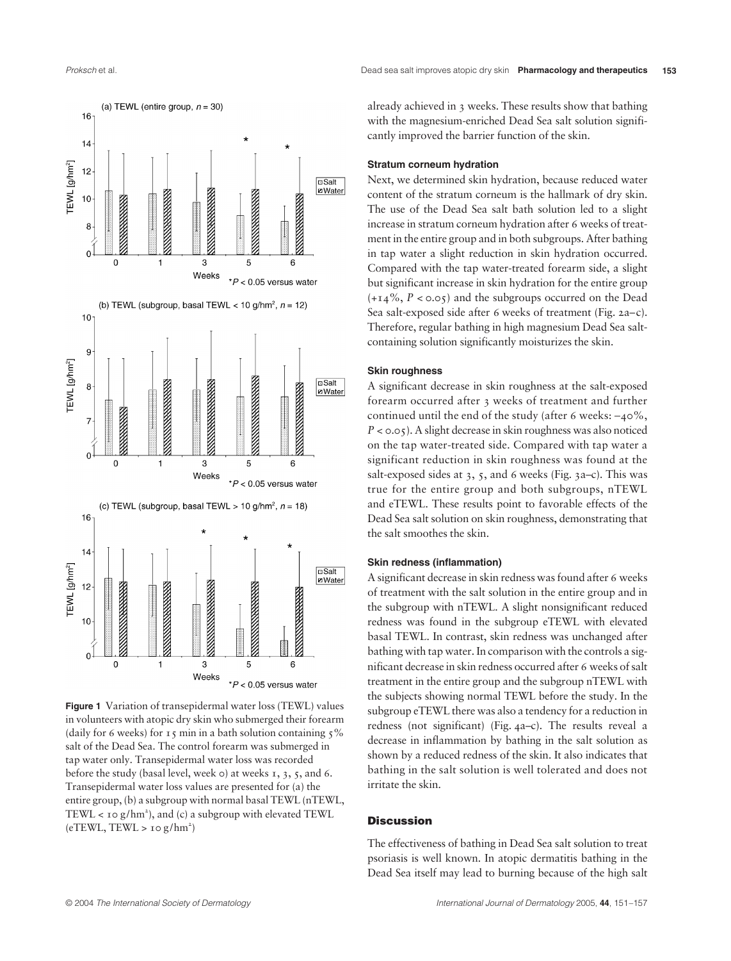

**Figure 1** Variation of transepidermal water loss (TEWL) values in volunteers with atopic dry skin who submerged their forearm (daily for 6 weeks) for  $\tau$  5 min in a bath solution containing  $\zeta$ % salt of the Dead Sea. The control forearm was submerged in tap water only. Transepidermal water loss was recorded before the study (basal level, week 0) at weeks 1, 3, 5, and 6. Transepidermal water loss values are presented for (a) the entire group, (b) a subgroup with normal basal TEWL (nTEWL, TEWL < 10  $g/hm^2$ ), and (c) a subgroup with elevated TEWL  $(eTEWL, TEWL > 10 g/hm<sup>2</sup>)$ 

already achieved in 3 weeks. These results show that bathing with the magnesium-enriched Dead Sea salt solution significantly improved the barrier function of the skin.

# **Stratum corneum hydration**

Next, we determined skin hydration, because reduced water content of the stratum corneum is the hallmark of dry skin. The use of the Dead Sea salt bath solution led to a slight increase in stratum corneum hydration after 6 weeks of treatment in the entire group and in both subgroups. After bathing in tap water a slight reduction in skin hydration occurred. Compared with the tap water-treated forearm side, a slight but significant increase in skin hydration for the entire group  $(+14\%, P < 0.05)$  and the subgroups occurred on the Dead Sea salt-exposed side after 6 weeks of treatment (Fig. 2a–c). Therefore, regular bathing in high magnesium Dead Sea saltcontaining solution significantly moisturizes the skin.

#### **Skin roughness**

A significant decrease in skin roughness at the salt-exposed forearm occurred after 3 weeks of treatment and further continued until the end of the study (after 6 weeks: −40%, *P* < 0.05). A slight decrease in skin roughness was also noticed on the tap water-treated side. Compared with tap water a significant reduction in skin roughness was found at the salt-exposed sides at  $3, 5$ , and 6 weeks (Fig.  $3a-c$ ). This was true for the entire group and both subgroups, nTEWL and eTEWL. These results point to favorable effects of the Dead Sea salt solution on skin roughness, demonstrating that the salt smoothes the skin.

## **Skin redness (inflammation)**

A significant decrease in skin redness was found after 6 weeks of treatment with the salt solution in the entire group and in the subgroup with nTEWL. A slight nonsignificant reduced redness was found in the subgroup eTEWL with elevated basal TEWL. In contrast, skin redness was unchanged after bathing with tap water. In comparison with the controls a significant decrease in skin redness occurred after 6 weeks of salt treatment in the entire group and the subgroup nTEWL with the subjects showing normal TEWL before the study. In the subgroup eTEWL there was also a tendency for a reduction in redness (not significant) (Fig. 4a–c). The results reveal a decrease in inflammation by bathing in the salt solution as shown by a reduced redness of the skin. It also indicates that bathing in the salt solution is well tolerated and does not irritate the skin.

## **Discussion**

The effectiveness of bathing in Dead Sea salt solution to treat psoriasis is well known. In atopic dermatitis bathing in the Dead Sea itself may lead to burning because of the high salt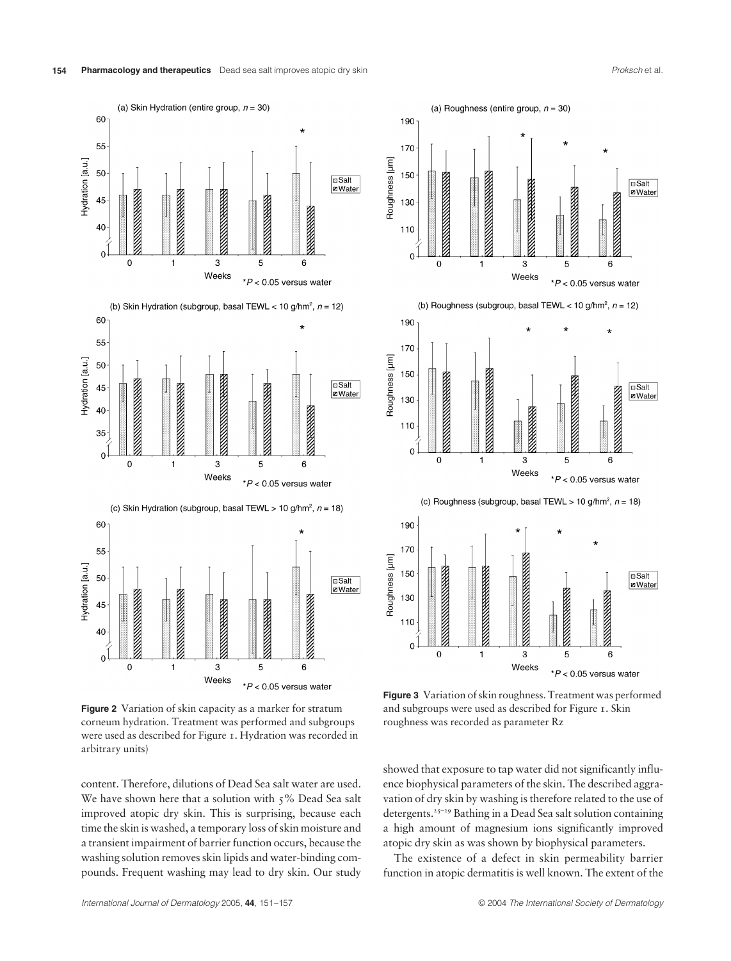





**Figure 2** Variation of skin capacity as a marker for stratum corneum hydration. Treatment was performed and subgroups were used as described for Figure 1. Hydration was recorded in arbitrary units)

content. Therefore, dilutions of Dead Sea salt water are used. We have shown here that a solution with 5% Dead Sea salt improved atopic dry skin. This is surprising, because each time the skin is washed, a temporary loss of skin moisture and a transient impairment of barrier function occurs, because the washing solution removes skin lipids and water-binding compounds. Frequent washing may lead to dry skin. Our study



(b) Roughness (subgroup, basal TEWL < 10 g/hm<sup>2</sup>,  $n = 12$ )





**Figure 3** Variation of skin roughness. Treatment was performed and subgroups were used as described for Figure 1. Skin roughness was recorded as parameter Rz

showed that exposure to tap water did not significantly influence biophysical parameters of the skin. The described aggravation of dry skin by washing is therefore related to the use of detergents.25–29 Bathing in a Dead Sea salt solution containing a high amount of magnesium ions significantly improved atopic dry skin as was shown by biophysical parameters.

The existence of a defect in skin permeability barrier function in atopic dermatitis is well known. The extent of the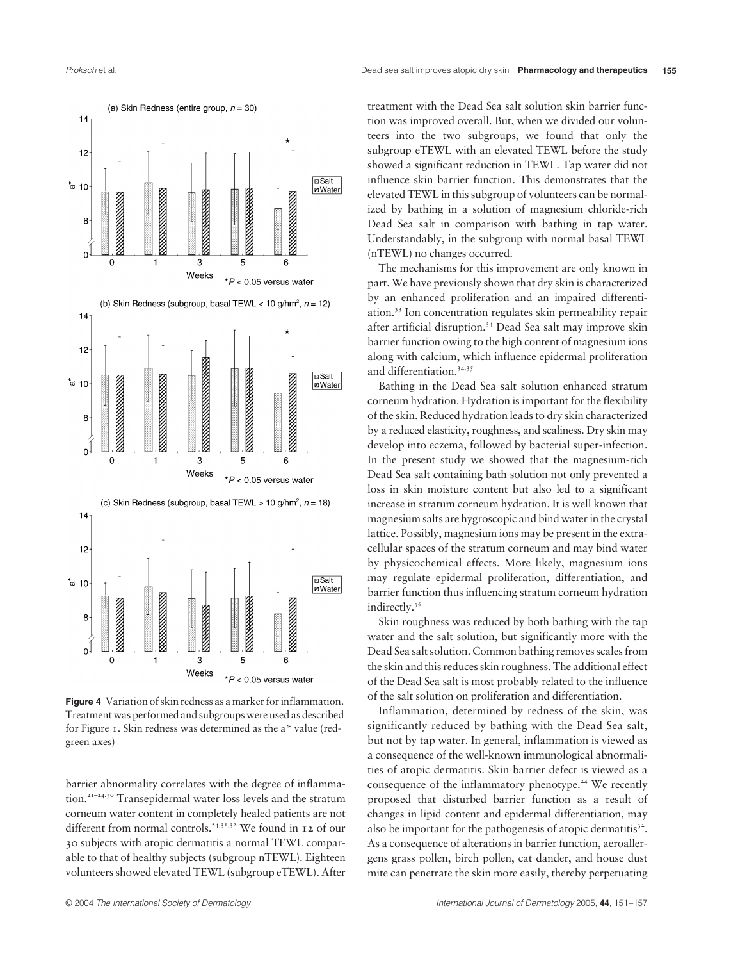

(b) Skin Redness (subgroup, basal TEWL < 10 g/hm<sup>2</sup>,  $n = 12$ )





**Figure 4** Variation of skin redness as a marker for inflammation. Treatment was performed and subgroups were used as described for Figure 1. Skin redness was determined as the a\* value (redgreen axes)

barrier abnormality correlates with the degree of inflammation.21–24,30 Transepidermal water loss levels and the stratum corneum water content in completely healed patients are not different from normal controls.<sup>24,31,32</sup> We found in 12 of our 30 subjects with atopic dermatitis a normal TEWL comparable to that of healthy subjects (subgroup nTEWL). Eighteen volunteers showed elevated TEWL (subgroup eTEWL). After treatment with the Dead Sea salt solution skin barrier function was improved overall. But, when we divided our volunteers into the two subgroups, we found that only the subgroup eTEWL with an elevated TEWL before the study showed a significant reduction in TEWL. Tap water did not influence skin barrier function. This demonstrates that the elevated TEWL in this subgroup of volunteers can be normalized by bathing in a solution of magnesium chloride-rich

(nTEWL) no changes occurred. The mechanisms for this improvement are only known in part. We have previously shown that dry skin is characterized by an enhanced proliferation and an impaired differentiation.33 Ion concentration regulates skin permeability repair after artificial disruption.<sup>34</sup> Dead Sea salt may improve skin barrier function owing to the high content of magnesium ions along with calcium, which influence epidermal proliferation and differentiation.34,35

Dead Sea salt in comparison with bathing in tap water. Understandably, in the subgroup with normal basal TEWL

Bathing in the Dead Sea salt solution enhanced stratum corneum hydration. Hydration is important for the flexibility of the skin. Reduced hydration leads to dry skin characterized by a reduced elasticity, roughness, and scaliness. Dry skin may develop into eczema, followed by bacterial super-infection. In the present study we showed that the magnesium-rich Dead Sea salt containing bath solution not only prevented a loss in skin moisture content but also led to a significant increase in stratum corneum hydration. It is well known that magnesium salts are hygroscopic and bind water in the crystal lattice. Possibly, magnesium ions may be present in the extracellular spaces of the stratum corneum and may bind water by physicochemical effects. More likely, magnesium ions may regulate epidermal proliferation, differentiation, and barrier function thus influencing stratum corneum hydration indirectly.36

Skin roughness was reduced by both bathing with the tap water and the salt solution, but significantly more with the Dead Sea salt solution. Common bathing removes scales from the skin and this reduces skin roughness. The additional effect of the Dead Sea salt is most probably related to the influence of the salt solution on proliferation and differentiation.

Inflammation, determined by redness of the skin, was significantly reduced by bathing with the Dead Sea salt, but not by tap water. In general, inflammation is viewed as a consequence of the well-known immunological abnormalities of atopic dermatitis. Skin barrier defect is viewed as a consequence of the inflammatory phenotype.<sup>24</sup> We recently proposed that disturbed barrier function as a result of changes in lipid content and epidermal differentiation, may also be important for the pathogenesis of atopic dermatitis $3^2$ . As a consequence of alterations in barrier function, aeroallergens grass pollen, birch pollen, cat dander, and house dust mite can penetrate the skin more easily, thereby perpetuating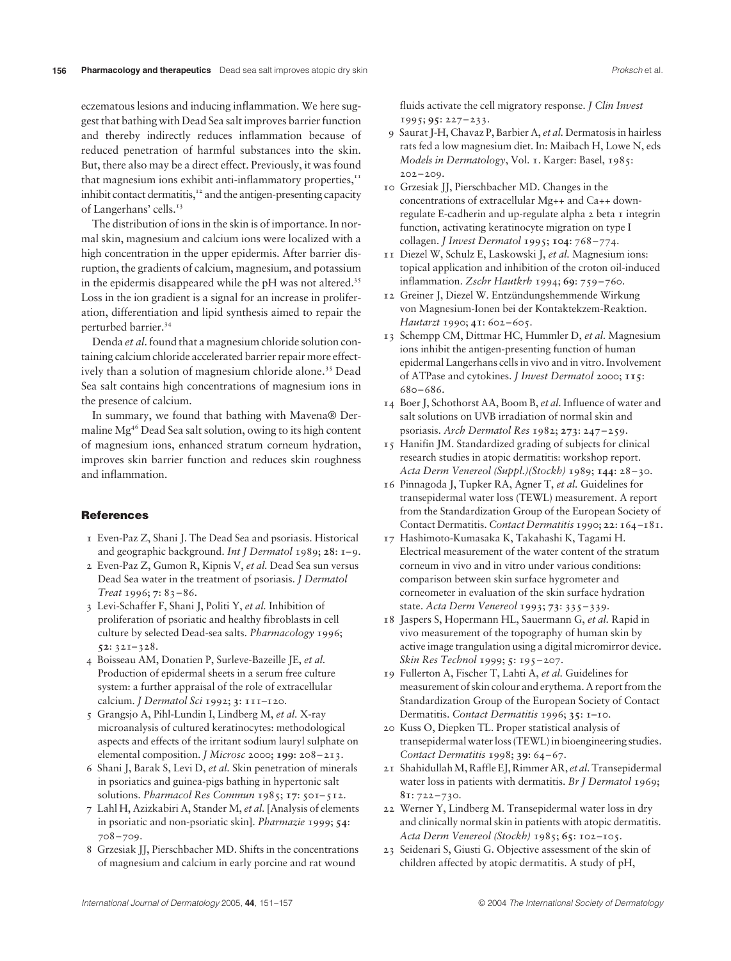eczematous lesions and inducing inflammation. We here suggest that bathing with Dead Sea salt improves barrier function and thereby indirectly reduces inflammation because of reduced penetration of harmful substances into the skin. But, there also may be a direct effect. Previously, it was found that magnesium ions exhibit anti-inflammatory properties,<sup>11</sup> inhibit contact dermatitis,<sup>12</sup> and the antigen-presenting capacity of Langerhans' cells.<sup>13</sup>

The distribution of ions in the skin is of importance. In normal skin, magnesium and calcium ions were localized with a high concentration in the upper epidermis. After barrier disruption, the gradients of calcium, magnesium, and potassium in the epidermis disappeared while the pH was not altered.<sup>35</sup> Loss in the ion gradient is a signal for an increase in proliferation, differentiation and lipid synthesis aimed to repair the perturbed barrier.34

Denda *et al*. found that a magnesium chloride solution containing calcium chloride accelerated barrier repair more effectively than a solution of magnesium chloride alone.<sup>35</sup> Dead Sea salt contains high concentrations of magnesium ions in the presence of calcium.

In summary, we found that bathing with Mavena® Dermaline Mg46 Dead Sea salt solution, owing to its high content of magnesium ions, enhanced stratum corneum hydration, improves skin barrier function and reduces skin roughness and inflammation.

# **References**

- 1 Even-Paz Z, Shani J. The Dead Sea and psoriasis. Historical and geographic background. *Int J Dermatol* 1989; **28**: 1–9.
- 2 Even-Paz Z, Gumon R, Kipnis V, *et al.* Dead Sea sun versus Dead Sea water in the treatment of psoriasis. *J Dermatol Treat* 1996; **7**: 83–86.
- 3 Levi-Schaffer F, Shani J, Politi Y, *et al.* Inhibition of proliferation of psoriatic and healthy fibroblasts in cell culture by selected Dead-sea salts. *Pharmacology* 1996; **52**: 321–328.
- 4 Boisseau AM, Donatien P, Surleve-Bazeille JE, *et al.* Production of epidermal sheets in a serum free culture system: a further appraisal of the role of extracellular calcium. *J Dermatol Sci* 1992; **3**: 111–120.
- 5 Grangsjo A, Pihl-Lundin I, Lindberg M, *et al.* X-ray microanalysis of cultured keratinocytes: methodological aspects and effects of the irritant sodium lauryl sulphate on elemental composition. *J Microsc* 2000; **199**: 208–213.
- 6 Shani J, Barak S, Levi D, *et al.* Skin penetration of minerals in psoriatics and guinea-pigs bathing in hypertonic salt solutions. *Pharmacol Res Commun* 1985; **17**: 501–512.
- 7 Lahl H, Azizkabiri A, Stander M, *et al.* [Analysis of elements in psoriatic and non-psoriatic skin]. *Pharmazie* 1999; **54**: 708–709.
- 8 Grzesiak JJ, Pierschbacher MD. Shifts in the concentrations of magnesium and calcium in early porcine and rat wound

fluids activate the cell migratory response. *J Clin Invest* 1995; **95**: 227–233.

- 9 Saurat J-H, Chavaz P, Barbier A, *et al.* Dermatosis in hairless rats fed a low magnesium diet. In: Maibach H, Lowe N, eds *Models in Dermatology*, Vol. 1. Karger: Basel, 1985:  $202 - 209.$
- 10 Grzesiak JJ, Pierschbacher MD. Changes in the concentrations of extracellular Mg++ and Ca++ downregulate E-cadherin and up-regulate alpha 2 beta 1 integrin function, activating keratinocyte migration on type I collagen. *J Invest Dermatol* 1995; **104**: 768–774.
- 11 Diezel W, Schulz E, Laskowski J, *et al.* Magnesium ions: topical application and inhibition of the croton oil-induced inflammation. *Zschr Hautkrh* 1994; **69**: 759–760.
- 12 Greiner J, Diezel W. Entzündungshemmende Wirkung von Magnesium-Ionen bei der Kontaktekzem-Reaktion. *Hautarzt* 1990; **41**: 602–605.
- 13 Schempp CM, Dittmar HC, Hummler D, *et al.* Magnesium ions inhibit the antigen-presenting function of human epidermal Langerhans cells in vivo and in vitro. Involvement of ATPase and cytokines. *J Invest Dermatol* 2000; **115**: 680–686.
- 14 Boer J, Schothorst AA, Boom B, *et al.* Influence of water and salt solutions on UVB irradiation of normal skin and psoriasis. *Arch Dermatol Res* 1982; **273**: 247–259.
- 15 Hanifin JM. Standardized grading of subjects for clinical research studies in atopic dermatitis: workshop report. *Acta Derm Venereol (Suppl.)(Stockh)* 1989; **144**: 28–30.
- 16 Pinnagoda J, Tupker RA, Agner T, *et al.* Guidelines for transepidermal water loss (TEWL) measurement. A report from the Standardization Group of the European Society of Contact Dermatitis. *Contact Dermatitis* 1990; **22**: 164–181.
- 17 Hashimoto-Kumasaka K, Takahashi K, Tagami H. Electrical measurement of the water content of the stratum corneum in vivo and in vitro under various conditions: comparison between skin surface hygrometer and corneometer in evaluation of the skin surface hydration state. *Acta Derm Venereol* 1993; **73**: 335–339.
- 18 Jaspers S, Hopermann HL, Sauermann G, *et al.* Rapid in vivo measurement of the topography of human skin by active image trangulation using a digital micromirror device. *Skin Res Technol* 1999; **5**: 195–207.
- 19 Fullerton A, Fischer T, Lahti A, *et al.* Guidelines for measurement of skin colour and erythema. A report from the Standardization Group of the European Society of Contact Dermatitis. *Contact Dermatitis* 1996; **35**: 1–10.
- 20 Kuss O, Diepken TL. Proper statistical analysis of transepidermal water loss (TEWL) in bioengineering studies. *Contact Dermatitis* 1998; **39**: 64–67.
- 21 Shahidullah M, Raffle EJ, Rimmer AR, *et al.*Transepidermal water loss in patients with dermatitis. *Br J Dermatol* 1969; **81**: 722–730.
- 22 Werner Y, Lindberg M. Transepidermal water loss in dry and clinically normal skin in patients with atopic dermatitis. *Acta Derm Venereol (Stockh)* 1985; **65**: 102–105.
- 23 Seidenari S, Giusti G. Objective assessment of the skin of children affected by atopic dermatitis. A study of pH,